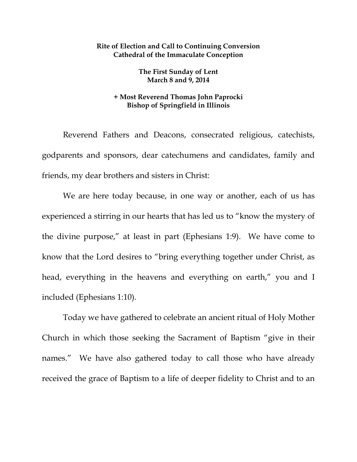## **Rite of Election and Call to Continuing Conversion Cathedral of the Immaculate Conception**

**The First Sunday of Lent March 8 and 9, 2014** 

## **+ Most Reverend Thomas John Paprocki Bishop of Springfield in Illinois**

Reverend Fathers and Deacons, consecrated religious, catechists, godparents and sponsors, dear catechumens and candidates, family and friends, my dear brothers and sisters in Christ:

We are here today because, in one way or another, each of us has experienced a stirring in our hearts that has led us to "know the mystery of the divine purpose," at least in part (Ephesians 1:9). We have come to know that the Lord desires to "bring everything together under Christ, as head, everything in the heavens and everything on earth," you and I included (Ephesians 1:10).

 Today we have gathered to celebrate an ancient ritual of Holy Mother Church in which those seeking the Sacrament of Baptism "give in their names." We have also gathered today to call those who have already received the grace of Baptism to a life of deeper fidelity to Christ and to an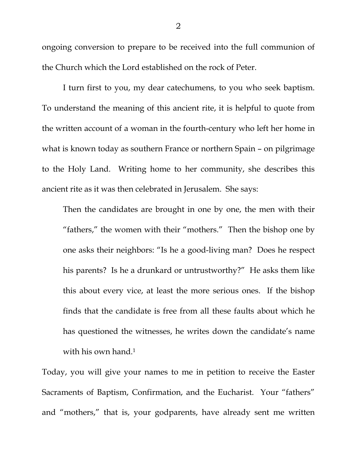ongoing conversion to prepare to be received into the full communion of the Church which the Lord established on the rock of Peter.

 I turn first to you, my dear catechumens, to you who seek baptism. To understand the meaning of this ancient rite, it is helpful to quote from the written account of a woman in the fourth-century who left her home in what is known today as southern France or northern Spain – on pilgrimage to the Holy Land. Writing home to her community, she describes this ancient rite as it was then celebrated in Jerusalem. She says:

Then the candidates are brought in one by one, the men with their "fathers," the women with their "mothers." Then the bishop one by one asks their neighbors: "Is he a good-living man? Does he respect his parents? Is he a drunkard or untrustworthy?" He asks them like this about every vice, at least the more serious ones. If the bishop finds that the candidate is free from all these faults about which he has questioned the witnesses, he writes down the candidate's name with his own hand.<sup>1</sup>

Today, you will give your names to me in petition to receive the Easter Sacraments of Baptism, Confirmation, and the Eucharist. Your "fathers" and "mothers," that is, your godparents, have already sent me written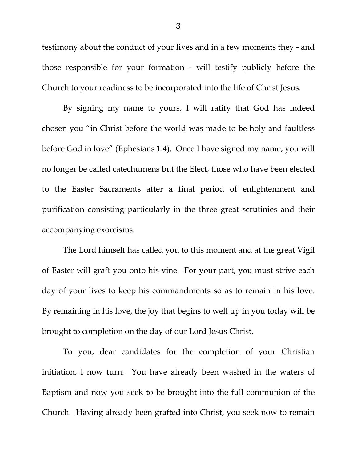testimony about the conduct of your lives and in a few moments they - and those responsible for your formation - will testify publicly before the Church to your readiness to be incorporated into the life of Christ Jesus.

By signing my name to yours, I will ratify that God has indeed chosen you "in Christ before the world was made to be holy and faultless before God in love" (Ephesians 1:4). Once I have signed my name, you will no longer be called catechumens but the Elect, those who have been elected to the Easter Sacraments after a final period of enlightenment and purification consisting particularly in the three great scrutinies and their accompanying exorcisms.

The Lord himself has called you to this moment and at the great Vigil of Easter will graft you onto his vine. For your part, you must strive each day of your lives to keep his commandments so as to remain in his love. By remaining in his love, the joy that begins to well up in you today will be brought to completion on the day of our Lord Jesus Christ.

To you, dear candidates for the completion of your Christian initiation, I now turn. You have already been washed in the waters of Baptism and now you seek to be brought into the full communion of the Church. Having already been grafted into Christ, you seek now to remain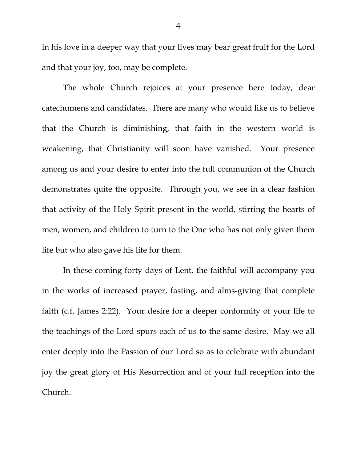in his love in a deeper way that your lives may bear great fruit for the Lord and that your joy, too, may be complete.

The whole Church rejoices at your presence here today, dear catechumens and candidates. There are many who would like us to believe that the Church is diminishing, that faith in the western world is weakening, that Christianity will soon have vanished. Your presence among us and your desire to enter into the full communion of the Church demonstrates quite the opposite. Through you, we see in a clear fashion that activity of the Holy Spirit present in the world, stirring the hearts of men, women, and children to turn to the One who has not only given them life but who also gave his life for them.

In these coming forty days of Lent, the faithful will accompany you in the works of increased prayer, fasting, and alms-giving that complete faith (c.f. James 2:22). Your desire for a deeper conformity of your life to the teachings of the Lord spurs each of us to the same desire. May we all enter deeply into the Passion of our Lord so as to celebrate with abundant joy the great glory of His Resurrection and of your full reception into the Church.